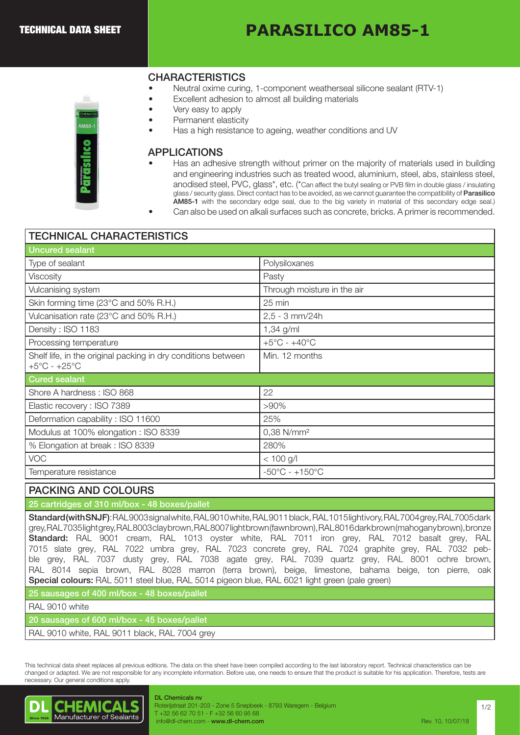# **PARASILICO AM85-1**

# **CHARACTERISTICS**

- Neutral oxime curing, 1-component weatherseal silicone sealant (RTV-1)
- Excellent adhesion to almost all building materials
- Very easy to apply
- Permanent elasticity
- Has a high resistance to ageing, weather conditions and UV

#### APPLICATIONS

- Has an adhesive strength without primer on the majority of materials used in building and engineering industries such as treated wood, aluminium, steel, abs, stainless steel, anodised steel, PVC, glass\*, etc. (\*Can affect the butyl sealing or PVB film in double glass / insulating glass / security glass. Direct contact has to be avoided, as we cannot guarantee the compatibility of Parasilico AM85-1 with the secondary edge seal, due to the big variety in material of this secondary edge seal.)
- Can also be used on alkali surfaces such as concrete, bricks. A primer is recommended.

| <b>TECHNICAL CHARACTERISTICS</b> |  |
|----------------------------------|--|
|----------------------------------|--|

| Polysiloxanes                      |  |  |  |  |
|------------------------------------|--|--|--|--|
| Pasty                              |  |  |  |  |
| Through moisture in the air        |  |  |  |  |
| 25 min                             |  |  |  |  |
| $2,5 - 3$ mm/24h                   |  |  |  |  |
| $1,34$ g/ml                        |  |  |  |  |
| $+5^{\circ}$ C - $+40^{\circ}$ C   |  |  |  |  |
| Min. 12 months                     |  |  |  |  |
| <b>Cured sealant</b>               |  |  |  |  |
| 22                                 |  |  |  |  |
| $>90\%$                            |  |  |  |  |
| 25%                                |  |  |  |  |
| 0,38 N/mm <sup>2</sup>             |  |  |  |  |
| 280%                               |  |  |  |  |
| $< 100$ g/l                        |  |  |  |  |
| $-50^{\circ}$ C - $+150^{\circ}$ C |  |  |  |  |
|                                    |  |  |  |  |

#### PACKING AND COLOURS

### 25 cartridges of 310 ml/box - 48 boxes/pallet

Standard (with SNJF): RAL 9003 signal white, RAL 9010 white, RAL 9011 black, RAL 1015 light ivory, RAL 7004 grey, RAL 7005 dark grey, RAL 7035 light grey, RAL 8003 clay brown, RAL 8007 light brown (fawn brown), RAL 8016 dark brown (mahogany brown), bronze Standard: RAL 9001 cream, RAL 1013 oyster white, RAL 7011 iron grey, RAL 7012 basalt grey, RAL 7015 slate grey, RAL 7022 umbra grey, RAL 7023 concrete grey, RAL 7024 graphite grey, RAL 7032 pebble grey, RAL 7037 dusty grey, RAL 7038 agate grey, RAL 7039 quartz grey, RAL 8001 ochre brown, RAL 8014 sepia brown, RAL 8028 marron (terra brown), beige, limestone, bahama beige, ton pierre, oak Special colours: RAL 5011 steel blue, RAL 5014 pigeon blue, RAL 6021 light green (pale green)

25 sausages of 400 ml/box - 48 boxes/pallet

#### RAL 9010 white

20 sausages of 600 ml/box - 45 boxes/pallet

RAL 9010 white, RAL 9011 black, RAL 7004 grey

This technical data sheet replaces all previous editions. The data on this sheet have been compiled according to the last laboratory report. Technical characteristics can be changed or adapted. We are not responsible for any incomplete information. Before use, one needs to ensure that the product is suitable for his application. Therefore, tests are necessary. Our general conditions apply.